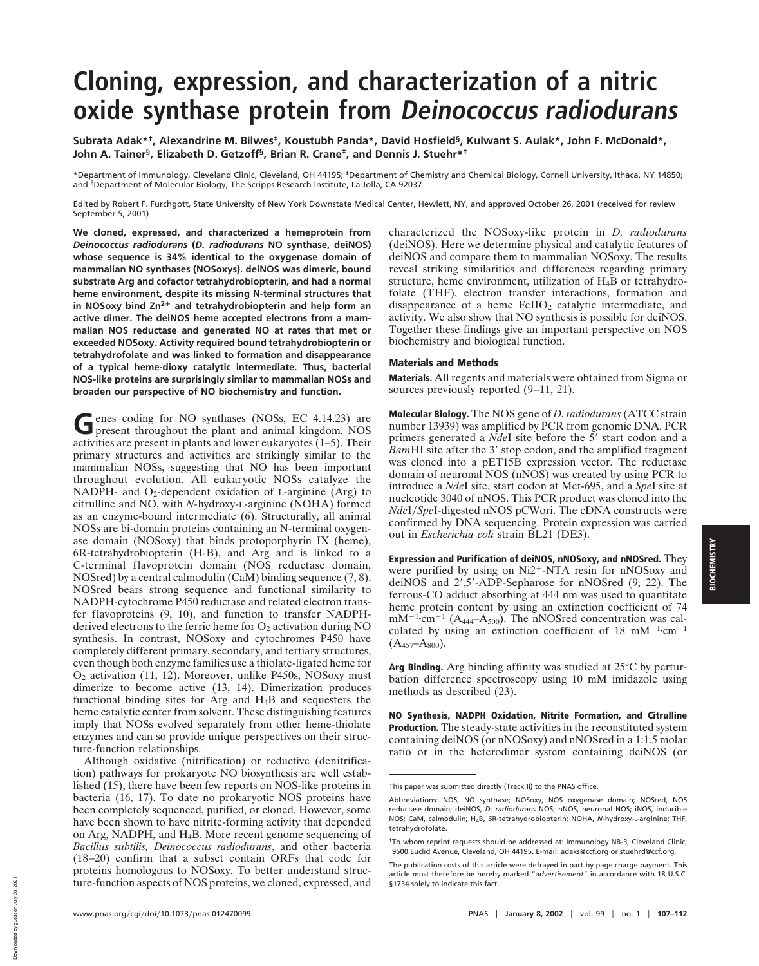## **Cloning, expression, and characterization of a nitric oxide synthase protein from Deinococcus radiodurans**

**Subrata Adak\*† , Alexandrine M. Bilwes‡ , Koustubh Panda\*, David Hosfield§ , Kulwant S. Aulak\*, John F. McDonald\*, John A. Tainer§ , Elizabeth D. Getzoff§ , Brian R. Crane‡ , and Dennis J. Stuehr\*†**

\*Department of Immunology, Cleveland Clinic, Cleveland, OH 44195; ‡Department of Chemistry and Chemical Biology, Cornell University, Ithaca, NY 14850; and §Department of Molecular Biology, The Scripps Research Institute, La Jolla, CA 92037

Edited by Robert F. Furchgott, State University of New York Downstate Medical Center, Hewlett, NY, and approved October 26, 2001 (received for review September 5, 2001)

**We cloned, expressed, and characterized a hemeprotein from** *Deinococcus radiodurans* **(***D. radiodurans* **NO synthase, deiNOS) whose sequence is 34% identical to the oxygenase domain of mammalian NO synthases (NOSoxys). deiNOS was dimeric, bound substrate Arg and cofactor tetrahydrobiopterin, and had a normal heme environment, despite its missing N-terminal structures that in NOSoxy bind Zn2 and tetrahydrobiopterin and help form an active dimer. The deiNOS heme accepted electrons from a mammalian NOS reductase and generated NO at rates that met or exceeded NOSoxy. Activity required bound tetrahydrobiopterin or tetrahydrofolate and was linked to formation and disappearance of a typical heme-dioxy catalytic intermediate. Thus, bacterial NOS-like proteins are surprisingly similar to mammalian NOSs and broaden our perspective of NO biochemistry and function.**

G enes coding for NO synthases (NOSs, EC 4.14.23) are present throughout the plant and animal kingdom. NOS present throughout the plant and animal kingdom. NOS activities are present in plants and lower eukaryotes  $(1-5)$ . Their primary structures and activities are strikingly similar to the mammalian NOSs, suggesting that NO has been important throughout evolution. All eukaryotic NOSs catalyze the NADPH- and  $O_2$ -dependent oxidation of L-arginine (Arg) to citrulline and NO, with *N-*hydroxy-L-arginine (NOHA) formed as an enzyme-bound intermediate (6). Structurally, all animal NOSs are bi-domain proteins containing an N-terminal oxygenase domain (NOSoxy) that binds protoporphyrin IX (heme), 6R-tetrahydrobiopterin (H4B), and Arg and is linked to a C-terminal flavoprotein domain (NOS reductase domain, NOSred) by a central calmodulin (CaM) binding sequence (7, 8). NOSred bears strong sequence and functional similarity to NADPH-cytochrome P450 reductase and related electron transfer flavoproteins (9, 10), and function to transfer NADPHderived electrons to the ferric heme for  $O_2$  activation during NO synthesis. In contrast, NOSoxy and cytochromes P450 have completely different primary, secondary, and tertiary structures, even though both enzyme families use a thiolate-ligated heme for O<sup>2</sup> activation (11, 12). Moreover, unlike P450s, NOSoxy must dimerize to become active (13, 14). Dimerization produces functional binding sites for Arg and H4B and sequesters the heme catalytic center from solvent. These distinguishing features imply that NOSs evolved separately from other heme-thiolate enzymes and can so provide unique perspectives on their structure-function relationships.

Although oxidative (nitrification) or reductive (denitrification) pathways for prokaryote NO biosynthesis are well established (15), there have been few reports on NOS-like proteins in bacteria (16, 17). To date no prokaryotic NOS proteins have been completely sequenced, purified, or cloned. However, some have been shown to have nitrite-forming activity that depended on Arg, NADPH, and H4B. More recent genome sequencing of *Bacillus subtilis, Deinococcus radiodurans*, and other bacteria (18–20) confirm that a subset contain ORFs that code for proteins homologous to NOSoxy. To better understand structure-function aspects of NOS proteins, we cloned, expressed, and

characterized the NOSoxy-like protein in *D. radiodurans* (deiNOS). Here we determine physical and catalytic features of deiNOS and compare them to mammalian NOSoxy. The results reveal striking similarities and differences regarding primary structure, heme environment, utilization of  $H_4B$  or tetrahydrofolate (THF), electron transfer interactions, formation and disappearance of a heme  $FeIIO<sub>2</sub>$  catalytic intermediate, and activity. We also show that NO synthesis is possible for deiNOS. Together these findings give an important perspective on NOS biochemistry and biological function.

## Materials and Methods

Materials. All regents and materials were obtained from Sigma or sources previously reported (9–11, 21).

Molecular Biology. The NOS gene of *D. radiodurans* (ATCC strain number 13939) was amplified by PCR from genomic DNA. PCR primers generated a *NdeI* site before the 5' start codon and a *Bam*HI site after the 3' stop codon, and the amplified fragment was cloned into a pET15B expression vector. The reductase domain of neuronal NOS (nNOS) was created by using PCR to introduce a *Nde*I site, start codon at Met-695, and a *Spe*I site at nucleotide 3040 of nNOS. This PCR product was cloned into the *NdeI*/*SpeI*-digested nNOS pCWori. The cDNA constructs were confirmed by DNA sequencing. Protein expression was carried out in *Escherichia coli* strain BL21 (DE3).

Expression and Purification of deiNOS, nNOSoxy, and nNOSred. They were purified by using on Ni2<sup>+</sup>-NTA resin for nNOSoxy and deiNOS and 2',5'-ADP-Sepharose for nNOSred (9, 22). The ferrous-CO adduct absorbing at 444 nm was used to quantitate heme protein content by using an extinction coefficient of 74  $mM^{-1}$  cm<sup>-1</sup> (A<sub>444</sub>-A<sub>500</sub>). The nNOSred concentration was calculated by using an extinction coefficient of 18 mM<sup>-1</sup>·cm<sup>-1</sup>  $(A_{457} - A_{800}).$ 

Arg Binding. Arg binding affinity was studied at 25°C by perturbation difference spectroscopy using 10 mM imidazole using methods as described (23).

NO Synthesis, NADPH Oxidation, Nitrite Formation, and Citrulline **Production.** The steady-state activities in the reconstituted system containing deiNOS (or nNOSoxy) and nNOSred in a 1:1.5 molar ratio or in the heterodimer system containing deiNOS (or

Downloaded by guest on July 30, 2021

Downloaded by guest on July 30, 2021

This paper was submitted directly (Track II) to the PNAS office.

Abbreviations: NOS, NO synthase; NOSoxy, NOS oxygenase domain; NOSred, NOS reductase domain; deiNOS, *D. radiodurans* NOS; nNOS, neuronal NOS; iNOS, inducible NOS; CaM, calmodulin; H4B, 6R-tetrahydrobiopterin; NOHA, *N*-hydroxy-L-arginine; THF, tetrahydrofolate.

<sup>†</sup>To whom reprint requests should be addressed at: Immunology NB-3, Cleveland Clinic, 9500 Euclid Avenue, Cleveland, OH 44195. E-mail: adaks@ccf.org or stuehrd@ccf.org.

The publication costs of this article were defrayed in part by page charge payment. This article must therefore be hereby marked "*advertisement*" in accordance with 18 U.S.C. §1734 solely to indicate this fact.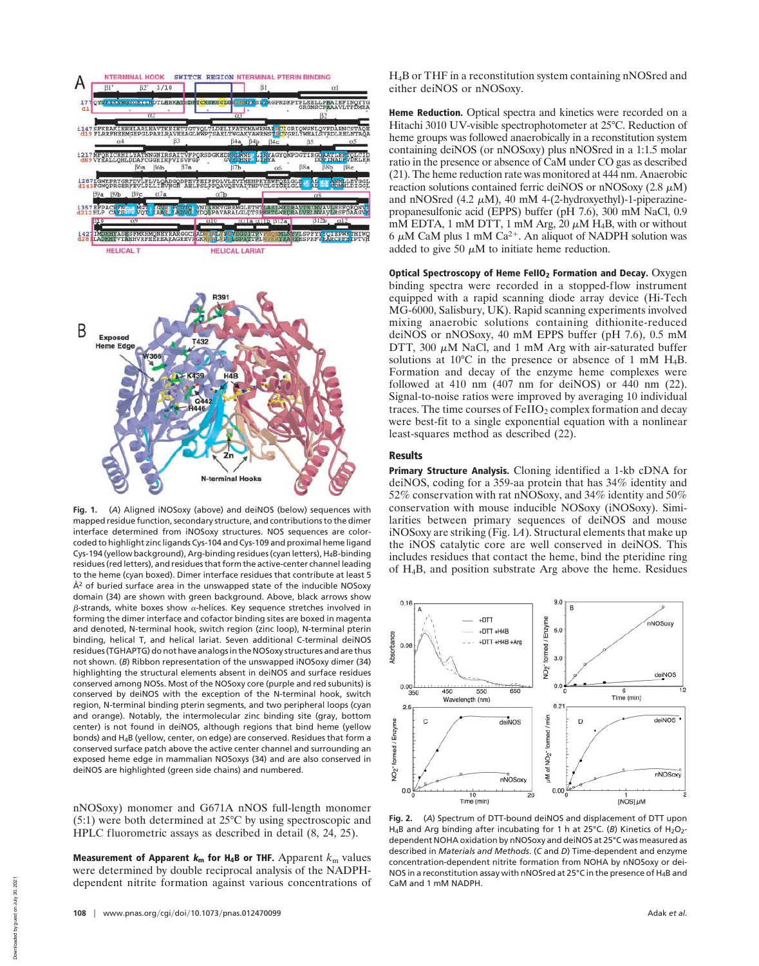



**Fig. 1.** (*A*) Aligned iNOSoxy (above) and deiNOS (below) sequences with mapped residue function, secondary structure, and contributions to the dimer interface determined from iNOSoxy structures. NOS sequences are colorcoded to highlight zinc ligands Cys-104 and Cys-109 and proximal heme ligand Cys-194 (yellow background), Arg-binding residues (cyan letters),  $H_4B$ -binding residues (red letters), and residues that form the active-center channel leading to the heme (cyan boxed). Dimer interface residues that contribute at least 5  $A^2$  of buried surface area in the unswapped state of the inducible NOSoxy domain (34) are shown with green background. Above, black arrows show  $\beta$ -strands, white boxes show  $\alpha$ -helices. Key sequence stretches involved in forming the dimer interface and cofactor binding sites are boxed in magenta and denoted, N-terminal hook, switch region (zinc loop), N-terminal pterin binding, helical T, and helical lariat. Seven additional C-terminal deiNOS residues (TGHAPTG) do not have analogs in the NOSoxy structures and are thus not shown. (*B*) Ribbon representation of the unswapped iNOSoxy dimer (34) highlighting the structural elements absent in deiNOS and surface residues conserved among NOSs. Most of the NOSoxy core (purple and red subunits) is conserved by deiNOS with the exception of the N-terminal hook, switch region, N-terminal binding pterin segments, and two peripheral loops (cyan and orange). Notably, the intermolecular zinc binding site (gray, bottom center) is not found in deiNOS, although regions that bind heme (yellow bonds) and H4B (yellow, center, on edge) are conserved. Residues that form a conserved surface patch above the active center channel and surrounding an exposed heme edge in mammalian NOSoxys (34) and are also conserved in deiNOS are highlighted (green side chains) and numbered.

nNOSoxy) monomer and G671A nNOS full-length monomer (5:1) were both determined at 25°C by using spectroscopic and HPLC fluorometric assays as described in detail (8, 24, 25).

**Measurement of Apparent**  $k_m$  **for H<sub>4</sub>B or THF.** Apparent  $k_m$  values were determined by double reciprocal analysis of the NADPHdependent nitrite formation against various concentrations of H4B or THF in a reconstitution system containing nNOSred and either deiNOS or nNOSoxy.

Heme Reduction. Optical spectra and kinetics were recorded on a Hitachi 3010 UV-visible spectrophotometer at 25°C. Reduction of heme groups was followed anaerobically in a reconstitution system containing deiNOS (or nNOSoxy) plus nNOSred in a 1:1.5 molar ratio in the presence or absence of CaM under CO gas as described (21). The heme reduction rate was monitored at 444 nm. Anaerobic reaction solutions contained ferric deiNOS or nNOSoxy  $(2.8 \mu M)$ and nNOSred (4.2  $\mu$ M), 40 mM 4-(2-hydroxyethyl)-1-piperazinepropanesulfonic acid (EPPS) buffer (pH 7.6), 300 mM NaCl, 0.9 mM EDTA, 1 mM DTT, 1 mM Arg, 20  $\mu$ M H<sub>4</sub>B, with or without  $6 \mu$ M CaM plus 1 mM Ca<sup>2+</sup>. An aliquot of NADPH solution was added to give 50  $\mu$ M to initiate heme reduction.

Optical Spectroscopy of Heme FeIIO<sub>2</sub> Formation and Decay.  $Oxygen$ binding spectra were recorded in a stopped-flow instrument equipped with a rapid scanning diode array device (Hi-Tech MG-6000, Salisbury, UK). Rapid scanning experiments involved mixing anaerobic solutions containing dithionite-reduced deiNOS or nNOSoxy, 40 mM EPPS buffer (pH 7.6), 0.5 mM DTT, 300  $\mu$ M NaCl, and 1 mM Arg with air-saturated buffer solutions at 10°C in the presence or absence of 1 mM H4B. Formation and decay of the enzyme heme complexes were followed at 410 nm  $(407 \text{ nm} \text{ for deiNOS})$  or 440 nm  $(22)$ . Signal-to-noise ratios were improved by averaging 10 individual traces. The time courses of  $FeIIO<sub>2</sub>$  complex formation and decay were best-fit to a single exponential equation with a nonlinear least-squares method as described (22).

## Results

Primary Structure Analysis. Cloning identified a 1-kb cDNA for deiNOS, coding for a 359-aa protein that has 34% identity and 52% conservation with rat nNOSoxy, and 34% identity and 50% conservation with mouse inducible NOSoxy (iNOSoxy). Similarities between primary sequences of deiNOS and mouse iNOSoxy are striking (Fig. 1*A*). Structural elements that make up the iNOS catalytic core are well conserved in deiNOS. This includes residues that contact the heme, bind the pteridine ring of H4B, and position substrate Arg above the heme. Residues



**Fig. 2.** (*A*) Spectrum of DTT-bound deiNOS and displacement of DTT upon H<sub>4</sub>B and Arg binding after incubating for 1 h at 25°C. (*B*) Kinetics of H<sub>2</sub>O<sub>2</sub>dependent NOHA oxidation by nNOSoxy and deiNOS at 25°C was measured as described in *Materials and Methods*. (*C* and *D*) Time-dependent and enzyme concentration-dependent nitrite formation from NOHA by nNOSoxy or dei-NOS in a reconstitution assay with nNOSred at 25°C in the presence of H4B and CaM and 1 mM NADPH.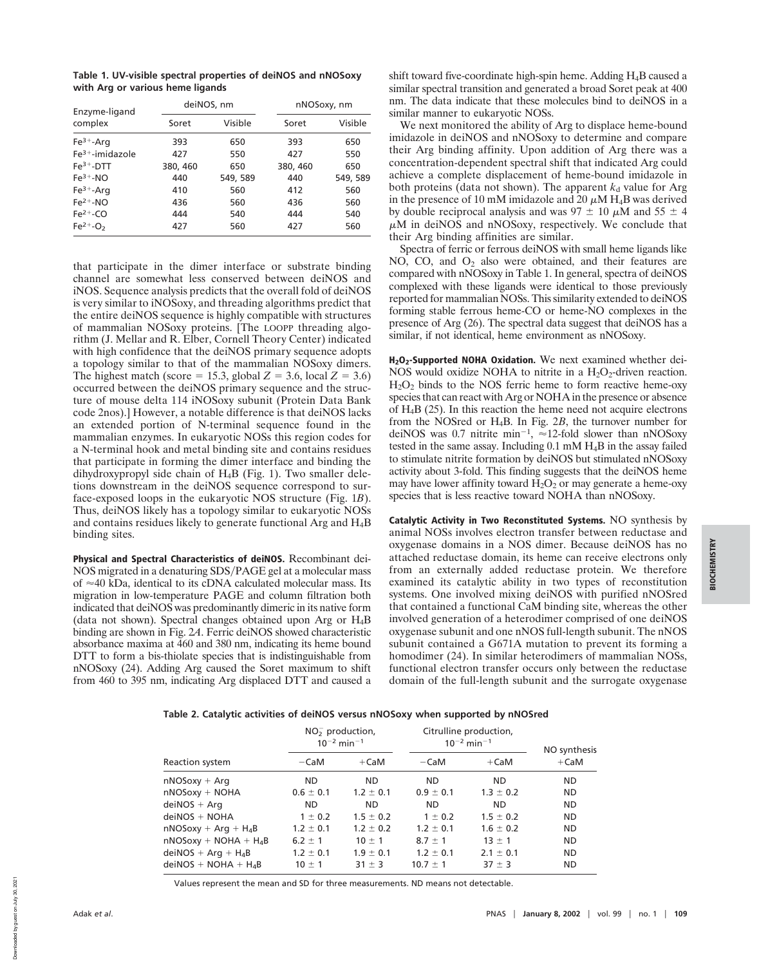**Table 1. UV-visible spectral properties of deiNOS and nNOSoxy with Arg or various heme ligands**

| Enzyme-ligand     |          | deiNOS, nm |          | nNOSoxy, nm |  |
|-------------------|----------|------------|----------|-------------|--|
| complex           | Soret    | Visible    |          | Visible     |  |
| $Fe3+-Arg$        | 393      | 650        | 393      | 650         |  |
| $Fe3+$ -imidazole | 427      | 550        | 427      | 550         |  |
| $Fe3+-DTT$        | 380, 460 | 650        | 380, 460 | 650         |  |
| $Fe3+-NO$         | 440      | 549, 589   | 440      | 549, 589    |  |
| $Fe3+-Arq$        | 410      | 560        | 412      | 560         |  |
| $Fe2+-NO$         | 436      | 560        | 436      | 560         |  |
| $Fe2+-CO$         | 444      | 540        | 444      | 540         |  |
| $Fe2+-O2$         | 427      | 560        | 427      | 560         |  |

that participate in the dimer interface or substrate binding channel are somewhat less conserved between deiNOS and iNOS. Sequence analysis predicts that the overall fold of deiNOS is very similar to iNOSoxy, and threading algorithms predict that the entire deiNOS sequence is highly compatible with structures of mammalian NOSoxy proteins. [The LOOPP threading algorithm (J. Mellar and R. Elber, Cornell Theory Center) indicated with high confidence that the deiNOS primary sequence adopts a topology similar to that of the mammalian NOSoxy dimers. The highest match (score = 15.3, global  $Z = 3.6$ , local  $Z = 3.6$ ) occurred between the deiNOS primary sequence and the structure of mouse delta 114 iNOSoxy subunit (Protein Data Bank code 2nos).] However, a notable difference is that deiNOS lacks an extended portion of N-terminal sequence found in the mammalian enzymes. In eukaryotic NOSs this region codes for a N-terminal hook and metal binding site and contains residues that participate in forming the dimer interface and binding the dihydroxypropyl side chain of H4B (Fig. 1). Two smaller deletions downstream in the deiNOS sequence correspond to surface-exposed loops in the eukaryotic NOS structure (Fig. 1*B*). Thus, deiNOS likely has a topology similar to eukaryotic NOSs and contains residues likely to generate functional Arg and H4B binding sites.

Physical and Spectral Characteristics of deiNOS. Recombinant dei-NOS migrated in a denaturing SDS/PAGE gel at a molecular mass of  $\approx$ 40 kDa, identical to its cDNA calculated molecular mass. Its migration in low-temperature PAGE and column filtration both indicated that deiNOS was predominantly dimeric in its native form (data not shown). Spectral changes obtained upon Arg or H4B binding are shown in Fig. 2*A*. Ferric deiNOS showed characteristic absorbance maxima at 460 and 380 nm, indicating its heme bound DTT to form a bis-thiolate species that is indistinguishable from nNOSoxy (24). Adding Arg caused the Soret maximum to shift from 460 to 395 nm, indicating Arg displaced DTT and caused a

shift toward five-coordinate high-spin heme. Adding H4B caused a similar spectral transition and generated a broad Soret peak at 400 nm. The data indicate that these molecules bind to deiNOS in a similar manner to eukaryotic NOSs.

We next monitored the ability of Arg to displace heme-bound imidazole in deiNOS and nNOSoxy to determine and compare their Arg binding affinity. Upon addition of Arg there was a concentration-dependent spectral shift that indicated Arg could achieve a complete displacement of heme-bound imidazole in both proteins (data not shown). The apparent  $k_d$  value for Arg in the presence of 10 mM imidazole and  $20 \mu M H_4B$  was derived by double reciprocal analysis and was  $97 \pm 10 \mu M$  and  $55 \pm 4$  $\mu$ M in deiNOS and nNOSoxy, respectively. We conclude that their Arg binding affinities are similar.

Spectra of ferric or ferrous deiNOS with small heme ligands like NO, CO, and  $O_2$  also were obtained, and their features are compared with nNOSoxy in Table 1. In general, spectra of deiNOS complexed with these ligands were identical to those previously reported for mammalian NOSs. This similarity extended to deiNOS forming stable ferrous heme-CO or heme-NO complexes in the presence of Arg (26). The spectral data suggest that deiNOS has a similar, if not identical, heme environment as nNOSoxy.

H<sub>2</sub>O<sub>2</sub>-Supported NOHA Oxidation. We next examined whether dei-NOS would oxidize NOHA to nitrite in a  $H_2O_2$ -driven reaction.  $H<sub>2</sub>O<sub>2</sub>$  binds to the NOS ferric heme to form reactive heme-oxy species that can react with Arg or NOHA in the presence or absence of H4B (25). In this reaction the heme need not acquire electrons from the NOSred or H4B. In Fig. 2*B*, the turnover number for deiNOS was 0.7 nitrite min<sup>-1</sup>,  $\approx$  12-fold slower than nNOSoxy tested in the same assay. Including 0.1 mM H4B in the assay failed to stimulate nitrite formation by deiNOS but stimulated nNOSoxy activity about 3-fold. This finding suggests that the deiNOS heme may have lower affinity toward  $H_2O_2$  or may generate a heme-oxy species that is less reactive toward NOHA than nNOSoxy.

Catalytic Activity in Two Reconstituted Systems. NO synthesis by animal NOSs involves electron transfer between reductase and oxygenase domains in a NOS dimer. Because deiNOS has no attached reductase domain, its heme can receive electrons only from an externally added reductase protein. We therefore examined its catalytic ability in two types of reconstitution systems. One involved mixing deiNOS with purified nNOSred that contained a functional CaM binding site, whereas the other involved generation of a heterodimer comprised of one deiNOS oxygenase subunit and one nNOS full-length subunit. The nNOS subunit contained a G671A mutation to prevent its forming a homodimer (24). In similar heterodimers of mammalian NOSs, functional electron transfer occurs only between the reductase domain of the full-length subunit and the surrogate oxygenase

|  |  |  |  | Table 2. Catalytic activities of deiNOS versus nNOSoxy when supported by nNOSred |
|--|--|--|--|----------------------------------------------------------------------------------|
|  |  |  |  |                                                                                  |

|                        | $NO2$ production,<br>$10^{-2}$ min <sup>-1</sup> |               | Citrulline production,<br>$10^{-2}$ min <sup>-1</sup> |               | NO synthesis |
|------------------------|--------------------------------------------------|---------------|-------------------------------------------------------|---------------|--------------|
| Reaction system        | $-can$                                           | $+CaM$        | $-CaM$                                                | $+CaM$        | $+CaM$       |
| $nNOSoxy + Arg$        | ND.                                              | ND.           | ND.                                                   | ND.           | <b>ND</b>    |
| $nNOSoxy + NOHA$       | $0.6 \pm 0.1$                                    | $1.2 \pm 0.1$ | $0.9 \pm 0.1$                                         | $1.3 \pm 0.2$ | <b>ND</b>    |
| $deiNOS + Arq$         | ND.                                              | ND.           | <b>ND</b>                                             | <b>ND</b>     | <b>ND</b>    |
| $deINOS + NOHA$        | $1 \pm 0.2$                                      | $1.5 \pm 0.2$ | $1 \pm 0.2$                                           | $1.5 \pm 0.2$ | <b>ND</b>    |
| $nNOSoxy + Arg + H4B$  | $1.2 \pm 0.1$                                    | $1.2 \pm 0.2$ | $1.2 \pm 0.1$                                         | $1.6 \pm 0.2$ | <b>ND</b>    |
| $nNOSoxy + NOHA + H4B$ | $6.2 \pm 1$                                      | $10 \pm 1$    | $8.7 \pm 1$                                           | $13 \pm 1$    | <b>ND</b>    |
| $deiNOS + Arg + H_4B$  | $1.2 \pm 0.1$                                    | $1.9 \pm 0.1$ | $1.2 \pm 0.1$                                         | $2.1 \pm 0.1$ | <b>ND</b>    |
| $deiNOS + NOHA + H4B$  | $10 \pm 1$                                       | $31 \pm 3$    | $10.7 + 1$                                            | $37 \pm 3$    | ND           |

Values represent the mean and SD for three measurements. ND means not detectable.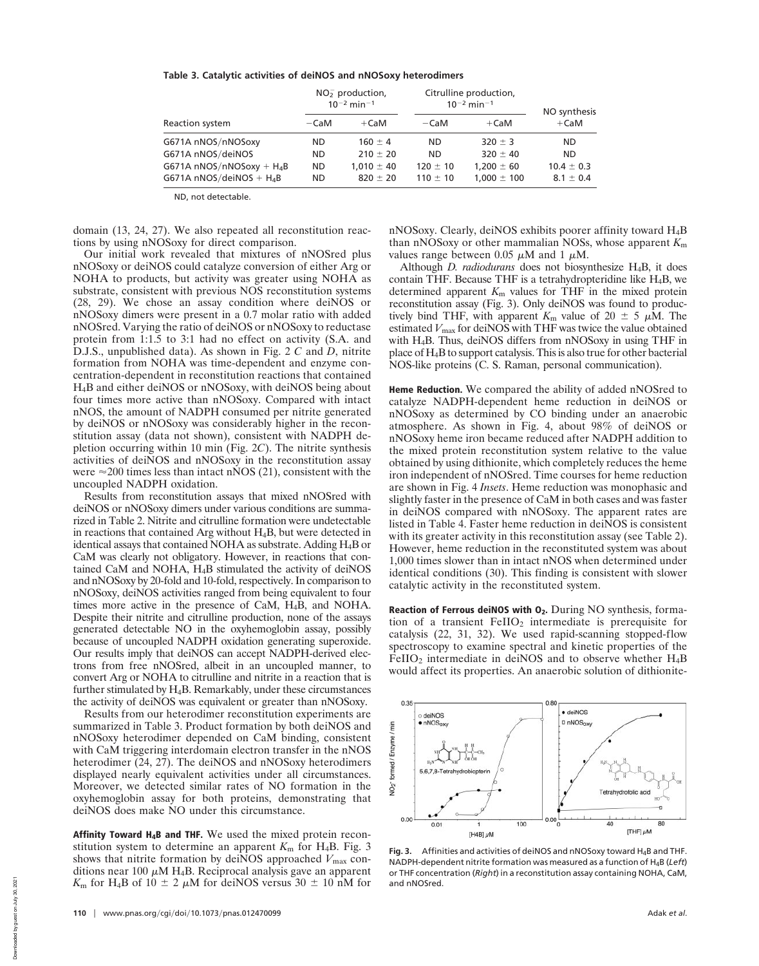| Table 3. Catalytic activities of deiNOS and nNOSoxy heterodimers |  |  |
|------------------------------------------------------------------|--|--|
|------------------------------------------------------------------|--|--|

|                             | $NO2$ production,<br>$10^{-2}$ min <sup>-1</sup> |                | Citrulline production,<br>$10^{-2}$ min <sup>-1</sup> |                 | NO synthesis   |
|-----------------------------|--------------------------------------------------|----------------|-------------------------------------------------------|-----------------|----------------|
| <b>Reaction system</b>      | -CaM                                             | $+$ CaM        | $-CaM$                                                | $+CaM$          | $+CaM$         |
| G671A nNOS/nNOSoxy          | <b>ND</b>                                        | $160 \pm 4$    | <b>ND</b>                                             | $320 \pm 3$     | ND.            |
| G671A nNOS/deiNOS           | <b>ND</b>                                        | $210 \pm 20$   | <b>ND</b>                                             | $320 \pm 40$    | ND.            |
| G671A nNOS/nNOSoxy + $H_4B$ | <b>ND</b>                                        | $1,010 \pm 40$ | $120 \pm 10$                                          | $1,200 \pm 60$  | $10.4 \pm 0.3$ |
| G671A nNOS/deiNOS + $H_4B$  | <b>ND</b>                                        | $820 \pm 20$   | $110 \pm 10$                                          | $1,000 \pm 100$ | $8.1 \pm 0.4$  |

ND, not detectable.

domain (13, 24, 27). We also repeated all reconstitution reactions by using nNOSoxy for direct comparison.

Our initial work revealed that mixtures of nNOSred plus nNOSoxy or deiNOS could catalyze conversion of either Arg or NOHA to products, but activity was greater using NOHA as substrate, consistent with previous NOS reconstitution systems (28, 29). We chose an assay condition where deiNOS or nNOSoxy dimers were present in a 0.7 molar ratio with added nNOSred. Varying the ratio of deiNOS or nNOSoxy to reductase protein from 1:1.5 to 3:1 had no effect on activity (S.A. and D.J.S., unpublished data). As shown in Fig. 2 *C* and *D*, nitrite formation from NOHA was time-dependent and enzyme concentration-dependent in reconstitution reactions that contained H4B and either deiNOS or nNOSoxy, with deiNOS being about four times more active than nNOSoxy. Compared with intact nNOS, the amount of NADPH consumed per nitrite generated by deiNOS or nNOSoxy was considerably higher in the reconstitution assay (data not shown), consistent with NADPH depletion occurring within 10 min (Fig. 2*C*). The nitrite synthesis activities of deiNOS and nNOSoxy in the reconstitution assay were  $\approx$  200 times less than intact nNOS (21), consistent with the uncoupled NADPH oxidation.

Results from reconstitution assays that mixed nNOSred with deiNOS or nNOSoxy dimers under various conditions are summarized in Table 2. Nitrite and citrulline formation were undetectable in reactions that contained Arg without H4B, but were detected in identical assays that contained NOHA as substrate. Adding H4B or CaM was clearly not obligatory. However, in reactions that contained CaM and NOHA, H4B stimulated the activity of deiNOS and nNOSoxy by 20-fold and 10-fold, respectively. In comparison to nNOSoxy, deiNOS activities ranged from being equivalent to four times more active in the presence of CaM, H4B, and NOHA. Despite their nitrite and citrulline production, none of the assays generated detectable NO in the oxyhemoglobin assay, possibly because of uncoupled NADPH oxidation generating superoxide. Our results imply that deiNOS can accept NADPH-derived electrons from free nNOSred, albeit in an uncoupled manner, to convert Arg or NOHA to citrulline and nitrite in a reaction that is further stimulated by H4B. Remarkably, under these circumstances the activity of deiNOS was equivalent or greater than nNOSoxy.

Results from our heterodimer reconstitution experiments are summarized in Table 3. Product formation by both deiNOS and nNOSoxy heterodimer depended on CaM binding, consistent with CaM triggering interdomain electron transfer in the nNOS heterodimer (24, 27). The deiNOS and nNOSoxy heterodimers displayed nearly equivalent activities under all circumstances. Moreover, we detected similar rates of NO formation in the oxyhemoglobin assay for both proteins, demonstrating that deiNOS does make NO under this circumstance.

Affinity Toward H4B and THF. We used the mixed protein reconstitution system to determine an apparent  $K<sub>m</sub>$  for H<sub>4</sub>B. Fig. 3 shows that nitrite formation by deiNOS approached  $V_{\text{max}}$  conditions near 100  $\mu$ M H<sub>4</sub>B. Reciprocal analysis gave an apparent  $K_{\rm m}$  for H<sub>4</sub>B of 10  $\pm$  2  $\mu$ M for deiNOS versus 30  $\pm$  10 nM for

nNOSoxy. Clearly, deiNOS exhibits poorer affinity toward H4B than nNOSoxy or other mammalian NOSs, whose apparent *K*<sup>m</sup> values range between 0.05  $\mu$ M and 1  $\mu$ M.

Although *D. radiodurans* does not biosynthesize H4B, it does contain THF. Because THF is a tetrahydropteridine like  $H_4B$ , we determined apparent  $K<sub>m</sub>$  values for THF in the mixed protein reconstitution assay (Fig. 3). Only deiNOS was found to productively bind THF, with apparent  $K_m$  value of 20  $\pm$  5  $\mu$ M. The estimated  $V_{\text{max}}$  for deiNOS with THF was twice the value obtained with H4B. Thus, deiNOS differs from nNOSoxy in using THF in place of H4B to support catalysis. This is also true for other bacterial NOS-like proteins (C. S. Raman, personal communication).

Heme Reduction. We compared the ability of added nNOSred to catalyze NADPH-dependent heme reduction in deiNOS or nNOSoxy as determined by CO binding under an anaerobic atmosphere. As shown in Fig. 4, about 98% of deiNOS or nNOSoxy heme iron became reduced after NADPH addition to the mixed protein reconstitution system relative to the value obtained by using dithionite, which completely reduces the heme iron independent of nNOSred. Time courses for heme reduction are shown in Fig. 4 *Insets*. Heme reduction was monophasic and slightly faster in the presence of CaM in both cases and was faster in deiNOS compared with nNOSoxy. The apparent rates are listed in Table 4. Faster heme reduction in deiNOS is consistent with its greater activity in this reconstitution assay (see Table 2). However, heme reduction in the reconstituted system was about 1,000 times slower than in intact nNOS when determined under identical conditions (30). This finding is consistent with slower catalytic activity in the reconstituted system.

Reaction of Ferrous deiNOS with O<sub>2</sub>. During NO synthesis, formation of a transient  $FeIIO<sub>2</sub>$  intermediate is prerequisite for catalysis (22, 31, 32). We used rapid-scanning stopped-flow spectroscopy to examine spectral and kinetic properties of the FeIIO<sub>2</sub> intermediate in deiNOS and to observe whether  $H_4B$ would affect its properties. An anaerobic solution of dithionite-



**Fig. 3.** Affinities and activities of deiNOS and nNOSoxy toward H4B and THF. NADPH-dependent nitrite formation was measured as a function of H4B (*Left*) or THF concentration (*Right*) in a reconstitution assay containing NOHA, CaM, and nNOSred.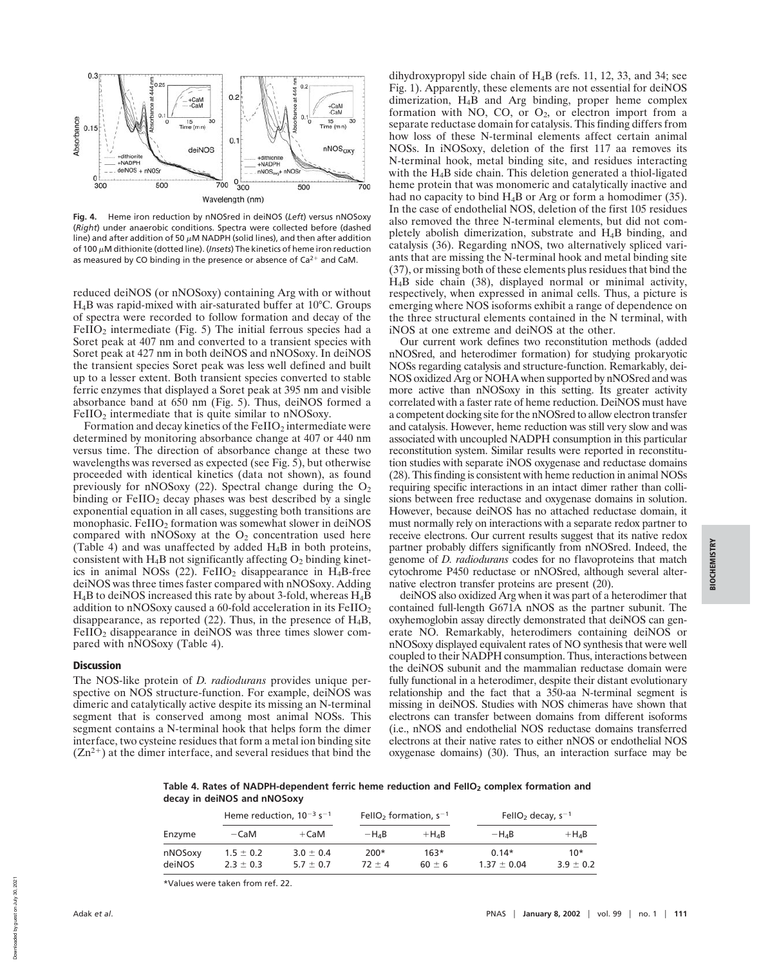

**Fig. 4.** Heme iron reduction by nNOSred in deiNOS (*Left*) versus nNOSoxy (*Right*) under anaerobic conditions. Spectra were collected before (dashed line) and after addition of 50  $\mu$ M NADPH (solid lines), and then after addition of 100  $\mu$ M dithionite (dotted line). (*Insets*) The kinetics of heme iron reduction as measured by CO binding in the presence or absence of  $Ca^{2+}$  and  $CaM$ .

reduced deiNOS (or nNOSoxy) containing Arg with or without H4B was rapid-mixed with air-saturated buffer at 10°C. Groups of spectra were recorded to follow formation and decay of the FeIIO<sub>2</sub> intermediate (Fig. 5) The initial ferrous species had a Soret peak at 407 nm and converted to a transient species with Soret peak at 427 nm in both deiNOS and nNOSoxy. In deiNOS the transient species Soret peak was less well defined and built up to a lesser extent. Both transient species converted to stable ferric enzymes that displayed a Soret peak at 395 nm and visible absorbance band at 650 nm (Fig. 5). Thus, deiNOS formed a  $FeIIO<sub>2</sub>$  intermediate that is quite similar to nNOSoxy.

Formation and decay kinetics of the  $FeIIO<sub>2</sub>$  intermediate were determined by monitoring absorbance change at 407 or 440 nm versus time. The direction of absorbance change at these two wavelengths was reversed as expected (see Fig. 5), but otherwise proceeded with identical kinetics (data not shown), as found previously for nNOSoxy (22). Spectral change during the  $O_2$ binding or  $FeIIO<sub>2</sub>$  decay phases was best described by a single exponential equation in all cases, suggesting both transitions are monophasic. FeIIO<sub>2</sub> formation was somewhat slower in deiNOS compared with nNOSoxy at the  $O_2$  concentration used here (Table 4) and was unaffected by added  $H_4B$  in both proteins, consistent with  $H_4B$  not significantly affecting  $O_2$  binding kinetics in animal NOSs  $(22)$ . FeIIO<sub>2</sub> disappearance in H<sub>4</sub>B-free deiNOS was three times faster compared with nNOSoxy. Adding  $H_4B$  to deiNOS increased this rate by about 3-fold, whereas  $H_4B$ addition to nNOSoxy caused a 60-fold acceleration in its  $FeIIO<sub>2</sub>$ disappearance, as reported  $(22)$ . Thus, in the presence of  $H_4B$ ,  $FeIIO<sub>2</sub>$  disappearance in deiNOS was three times slower compared with nNOSoxy (Table 4).

## **Discussion**

The NOS-like protein of *D. radiodurans* provides unique perspective on NOS structure-function. For example, deiNOS was dimeric and catalytically active despite its missing an N-terminal segment that is conserved among most animal NOSs. This segment contains a N-terminal hook that helps form the dimer interface, two cysteine residues that form a metal ion binding site  $(Zn^{2+})$  at the dimer interface, and several residues that bind the

dihydroxypropyl side chain of H4B (refs. 11, 12, 33, and 34; see Fig. 1). Apparently, these elements are not essential for deiNOS dimerization,  $H_4B$  and Arg binding, proper heme complex formation with NO, CO, or  $O_2$ , or electron import from a separate reductase domain for catalysis. This finding differs from how loss of these N-terminal elements affect certain animal NOSs. In iNOSoxy, deletion of the first 117 aa removes its N-terminal hook, metal binding site, and residues interacting with the H4B side chain. This deletion generated a thiol-ligated heme protein that was monomeric and catalytically inactive and had no capacity to bind  $H_4B$  or Arg or form a homodimer (35). In the case of endothelial NOS, deletion of the first 105 residues also removed the three N-terminal elements, but did not completely abolish dimerization, substrate and H4B binding, and catalysis (36). Regarding nNOS, two alternatively spliced variants that are missing the N-terminal hook and metal binding site (37), or missing both of these elements plus residues that bind the H4B side chain (38), displayed normal or minimal activity, respectively, when expressed in animal cells. Thus, a picture is emerging where NOS isoforms exhibit a range of dependence on the three structural elements contained in the N terminal, with iNOS at one extreme and deiNOS at the other.

Our current work defines two reconstitution methods (added nNOSred, and heterodimer formation) for studying prokaryotic NOSs regarding catalysis and structure-function. Remarkably, dei-NOS oxidized Arg or NOHA when supported by nNOSred and was more active than nNOSoxy in this setting. Its greater activity correlated with a faster rate of heme reduction. DeiNOS must have a competent docking site for the nNOSred to allow electron transfer and catalysis. However, heme reduction was still very slow and was associated with uncoupled NADPH consumption in this particular reconstitution system. Similar results were reported in reconstitution studies with separate iNOS oxygenase and reductase domains (28). This finding is consistent with heme reduction in animal NOSs requiring specific interactions in an intact dimer rather than collisions between free reductase and oxygenase domains in solution. However, because deiNOS has no attached reductase domain, it must normally rely on interactions with a separate redox partner to receive electrons. Our current results suggest that its native redox partner probably differs significantly from nNOSred. Indeed, the genome of *D. radiodurans* codes for no flavoproteins that match cytochrome P450 reductase or nNOSred, although several alternative electron transfer proteins are present (20).

deiNOS also oxidized Arg when it was part of a heterodimer that contained full-length G671A nNOS as the partner subunit. The oxyhemoglobin assay directly demonstrated that deiNOS can generate NO. Remarkably, heterodimers containing deiNOS or nNOSoxy displayed equivalent rates of NO synthesis that were well coupled to their NADPH consumption. Thus, interactions between the deiNOS subunit and the mammalian reductase domain were fully functional in a heterodimer, despite their distant evolutionary relationship and the fact that a 350-aa N-terminal segment is missing in deiNOS. Studies with NOS chimeras have shown that electrons can transfer between domains from different isoforms (i.e., nNOS and endothelial NOS reductase domains transferred electrons at their native rates to either nNOS or endothelial NOS oxygenase domains) (30). Thus, an interaction surface may be

**Table 4. Rates of NADPH-dependent ferric heme reduction and FeIIO2 complex formation and decay in deiNOS and nNOSoxy**

| Enzyme            | Heme reduction, $10^{-3}$ s <sup>-1</sup> |                                | FellO <sub>2</sub> formation, $s^{-1}$ |                      | FellO <sub>2</sub> decay, $s^{-1}$ |                        |
|-------------------|-------------------------------------------|--------------------------------|----------------------------------------|----------------------|------------------------------------|------------------------|
|                   | $-CaM$                                    | $+CaM$                         | $-HAB$                                 | $+HAB$               | $-HAB$                             | $+H_4B$                |
| nNOSoxy<br>deiNOS | $1.5 \pm 0.2$<br>$2.3 \pm 0.3$            | $3.0 \pm 0.4$<br>$5.7 \pm 0.7$ | $200*$<br>$72 + 4$                     | $163*$<br>$60 \pm 6$ | $0.14*$<br>$1.37 \pm 0.04$         | $10*$<br>$3.9 \pm 0.2$ |

\*Values were taken from ref. 22.